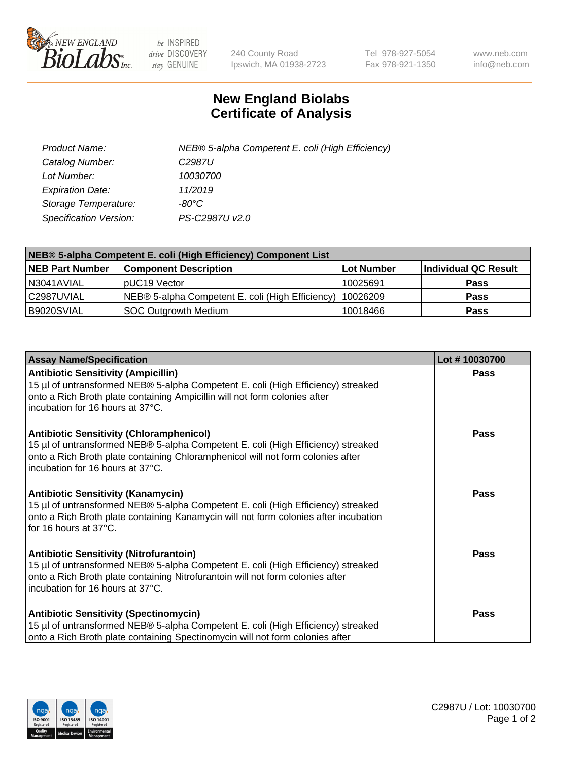

 $be$  INSPIRED drive DISCOVERY stay GENUINE

240 County Road Ipswich, MA 01938-2723 Tel 978-927-5054 Fax 978-921-1350 www.neb.com info@neb.com

## **New England Biolabs Certificate of Analysis**

| Product Name:                 | NEB® 5-alpha Competent E. coli (High Efficiency) |
|-------------------------------|--------------------------------------------------|
| Catalog Number:               | C <sub>2987</sub> U                              |
| Lot Number:                   | 10030700                                         |
| <b>Expiration Date:</b>       | 11/2019                                          |
| Storage Temperature:          | -80°C                                            |
| <b>Specification Version:</b> | PS-C2987U v2.0                                   |

| NEB® 5-alpha Competent E. coli (High Efficiency) Component List |                                                  |            |                      |  |
|-----------------------------------------------------------------|--------------------------------------------------|------------|----------------------|--|
| <b>NEB Part Number</b>                                          | <b>Component Description</b>                     | Lot Number | Individual QC Result |  |
| N3041AVIAL                                                      | pUC19 Vector                                     | 10025691   | <b>Pass</b>          |  |
| C2987UVIAL                                                      | NEB® 5-alpha Competent E. coli (High Efficiency) | 10026209   | <b>Pass</b>          |  |
| B9020SVIAL                                                      | <b>SOC Outgrowth Medium</b>                      | 10018466   | <b>Pass</b>          |  |

| <b>Assay Name/Specification</b>                                                                                                                                                                                                                            | Lot #10030700 |
|------------------------------------------------------------------------------------------------------------------------------------------------------------------------------------------------------------------------------------------------------------|---------------|
| <b>Antibiotic Sensitivity (Ampicillin)</b><br>15 µl of untransformed NEB® 5-alpha Competent E. coli (High Efficiency) streaked<br>onto a Rich Broth plate containing Ampicillin will not form colonies after<br>incubation for 16 hours at 37°C.           | <b>Pass</b>   |
| <b>Antibiotic Sensitivity (Chloramphenicol)</b><br>15 µl of untransformed NEB® 5-alpha Competent E. coli (High Efficiency) streaked<br>onto a Rich Broth plate containing Chloramphenicol will not form colonies after<br>incubation for 16 hours at 37°C. | <b>Pass</b>   |
| <b>Antibiotic Sensitivity (Kanamycin)</b><br>15 µl of untransformed NEB® 5-alpha Competent E. coli (High Efficiency) streaked<br>onto a Rich Broth plate containing Kanamycin will not form colonies after incubation<br>for 16 hours at 37°C.             | Pass          |
| <b>Antibiotic Sensitivity (Nitrofurantoin)</b><br>15 µl of untransformed NEB® 5-alpha Competent E. coli (High Efficiency) streaked<br>onto a Rich Broth plate containing Nitrofurantoin will not form colonies after<br>incubation for 16 hours at 37°C.   | Pass          |
| <b>Antibiotic Sensitivity (Spectinomycin)</b><br>15 µl of untransformed NEB® 5-alpha Competent E. coli (High Efficiency) streaked<br>onto a Rich Broth plate containing Spectinomycin will not form colonies after                                         | Pass          |